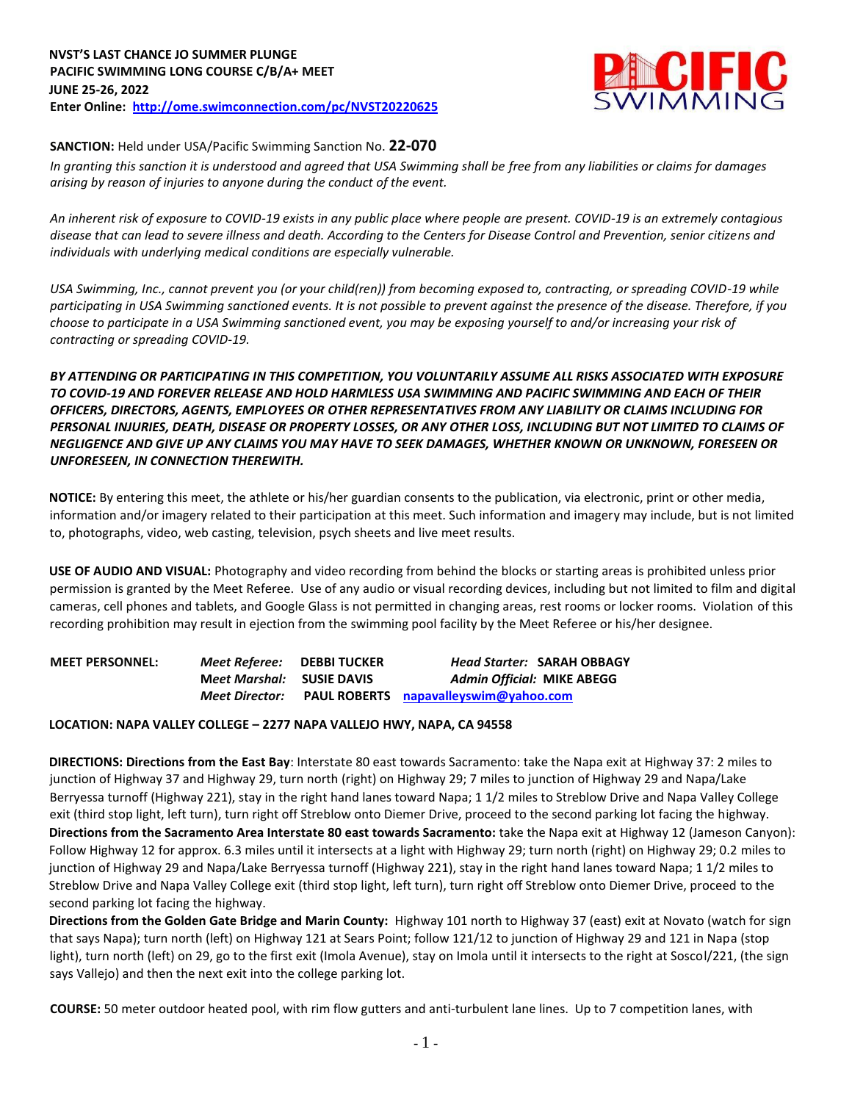

# **SANCTION:** Held under USA/Pacific Swimming Sanction No. **22-070**

*In granting this sanction it is understood and agreed that USA Swimming shall be free from any liabilities or claims for damages arising by reason of injuries to anyone during the conduct of the event.*

*An inherent risk of exposure to COVID-19 exists in any public place where people are present. COVID-19 is an extremely contagious disease that can lead to severe illness and death. According to the Centers for Disease Control and Prevention, senior citizens and individuals with underlying medical conditions are especially vulnerable.*

*USA Swimming, Inc., cannot prevent you (or your child(ren)) from becoming exposed to, contracting, or spreading COVID-19 while participating in USA Swimming sanctioned events. It is not possible to prevent against the presence of the disease. Therefore, if you choose to participate in a USA Swimming sanctioned event, you may be exposing yourself to and/or increasing your risk of contracting or spreading COVID-19.*

*BY ATTENDING OR PARTICIPATING IN THIS COMPETITION, YOU VOLUNTARILY ASSUME ALL RISKS ASSOCIATED WITH EXPOSURE TO COVID-19 AND FOREVER RELEASE AND HOLD HARMLESS USA SWIMMING AND PACIFIC SWIMMING AND EACH OF THEIR OFFICERS, DIRECTORS, AGENTS, EMPLOYEES OR OTHER REPRESENTATIVES FROM ANY LIABILITY OR CLAIMS INCLUDING FOR PERSONAL INJURIES, DEATH, DISEASE OR PROPERTY LOSSES, OR ANY OTHER LOSS, INCLUDING BUT NOT LIMITED TO CLAIMS OF NEGLIGENCE AND GIVE UP ANY CLAIMS YOU MAY HAVE TO SEEK DAMAGES, WHETHER KNOWN OR UNKNOWN, FORESEEN OR UNFORESEEN, IN CONNECTION THEREWITH.* 

**NOTICE:** By entering this meet, the athlete or his/her guardian consents to the publication, via electronic, print or other media, information and/or imagery related to their participation at this meet. Such information and imagery may include, but is not limited to, photographs, video, web casting, television, psych sheets and live meet results.

**USE OF AUDIO AND VISUAL:** Photography and video recording from behind the blocks or starting areas is prohibited unless prior permission is granted by the Meet Referee. Use of any audio or visual recording devices, including but not limited to film and digital cameras, cell phones and tablets, and Google Glass is not permitted in changing areas, rest rooms or locker rooms. Violation of this recording prohibition may result in ejection from the swimming pool facility by the Meet Referee or his/her designee.

| <b>MEET PERSONNEL:</b> | Meet Referee: DEBBI TUCKER | <b>Head Starter: SARAH OBBAGY</b>     |
|------------------------|----------------------------|---------------------------------------|
|                        | Meet Marshal: SUSIE DAVIS  | <b>Admin Official: MIKE ABEGG</b>     |
|                        | Meet Director:             | PAUL ROBERTS napavalleyswim@yahoo.com |

## **LOCATION: NAPA VALLEY COLLEGE – 2277 NAPA VALLEJO HWY, NAPA, CA 94558**

**DIRECTIONS: Directions from the East Bay**: Interstate 80 east towards Sacramento: take the Napa exit at Highway 37: 2 miles to junction of Highway 37 and Highway 29, turn north (right) on Highway 29; 7 miles to junction of Highway 29 and Napa/Lake Berryessa turnoff (Highway 221), stay in the right hand lanes toward Napa; 1 1/2 miles to Streblow Drive and Napa Valley College exit (third stop light, left turn), turn right off Streblow onto Diemer Drive, proceed to the second parking lot facing the highway. **Directions from the Sacramento Area Interstate 80 east towards Sacramento:** take the Napa exit at Highway 12 (Jameson Canyon): Follow Highway 12 for approx. 6.3 miles until it intersects at a light with Highway 29; turn north (right) on Highway 29; 0.2 miles to junction of Highway 29 and Napa/Lake Berryessa turnoff (Highway 221), stay in the right hand lanes toward Napa; 1 1/2 miles to Streblow Drive and Napa Valley College exit (third stop light, left turn), turn right off Streblow onto Diemer Drive, proceed to the second parking lot facing the highway.

**Directions from the Golden Gate Bridge and Marin County:** Highway 101 north to Highway 37 (east) exit at Novato (watch for sign that says Napa); turn north (left) on Highway 121 at Sears Point; follow 121/12 to junction of Highway 29 and 121 in Napa (stop light), turn north (left) on 29, go to the first exit (Imola Avenue), stay on Imola until it intersects to the right at Soscol/221, (the sign says Vallejo) and then the next exit into the college parking lot.

**COURSE:** 50 meter outdoor heated pool, with rim flow gutters and anti-turbulent lane lines. Up to 7 competition lanes, with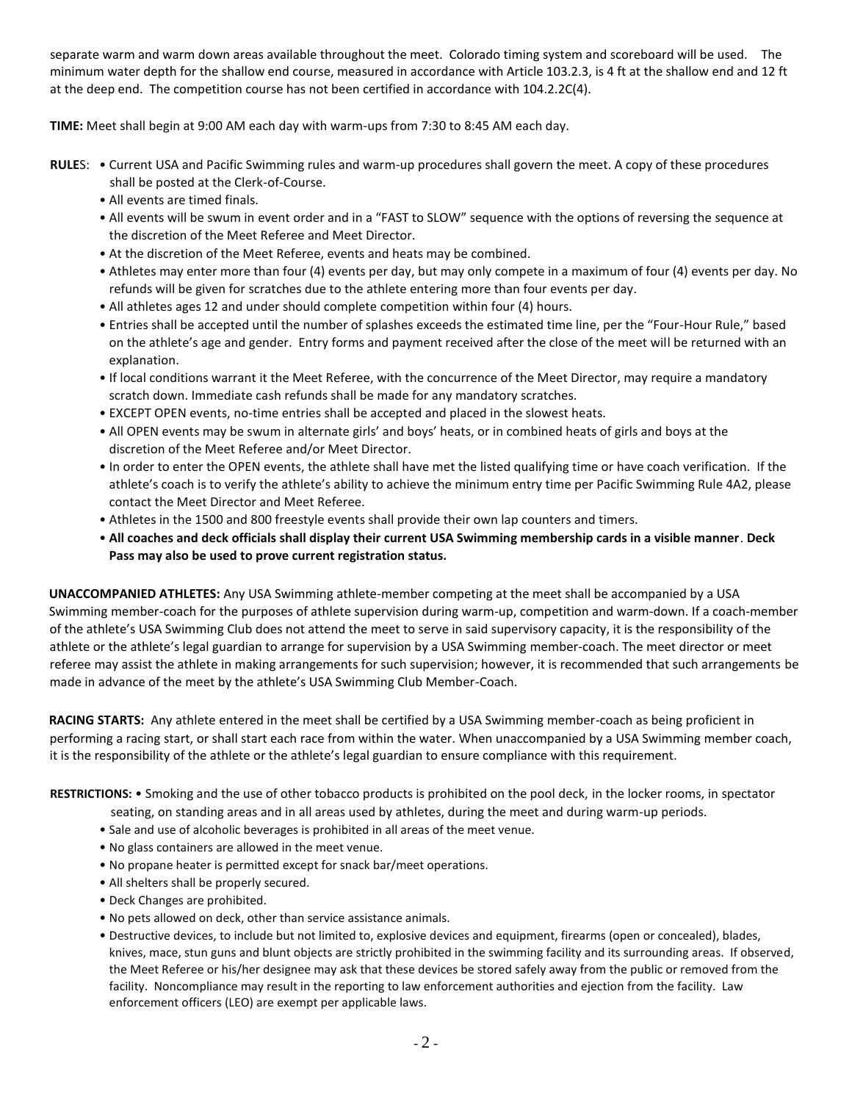separate warm and warm down areas available throughout the meet. Colorado timing system and scoreboard will be used. The minimum water depth for the shallow end course, measured in accordance with Article 103.2.3, is 4 ft at the shallow end and 12 ft at the deep end. The competition course has not been certified in accordance with 104.2.2C(4).

**TIME:** Meet shall begin at 9:00 AM each day with warm-ups from 7:30 to 8:45 AM each day.

- **RULE**S: Current USA and Pacific Swimming rules and warm-up procedures shall govern the meet. A copy of these procedures shall be posted at the Clerk-of-Course.
	- All events are timed finals.
	- All events will be swum in event order and in a "FAST to SLOW" sequence with the options of reversing the sequence at the discretion of the Meet Referee and Meet Director.
	- At the discretion of the Meet Referee, events and heats may be combined.
	- Athletes may enter more than four (4) events per day, but may only compete in a maximum of four (4) events per day. No refunds will be given for scratches due to the athlete entering more than four events per day.
	- All athletes ages 12 and under should complete competition within four (4) hours.
	- Entries shall be accepted until the number of splashes exceeds the estimated time line, per the "Four-Hour Rule," based on the athlete's age and gender. Entry forms and payment received after the close of the meet will be returned with an explanation.
	- If local conditions warrant it the Meet Referee, with the concurrence of the Meet Director, may require a mandatory scratch down. Immediate cash refunds shall be made for any mandatory scratches.
	- EXCEPT OPEN events, no-time entries shall be accepted and placed in the slowest heats.
	- All OPEN events may be swum in alternate girls' and boys' heats, or in combined heats of girls and boys at the discretion of the Meet Referee and/or Meet Director.
	- In order to enter the OPEN events, the athlete shall have met the listed qualifying time or have coach verification. If the athlete's coach is to verify the athlete's ability to achieve the minimum entry time per Pacific Swimming Rule 4A2, please contact the Meet Director and Meet Referee.
	- Athletes in the 1500 and 800 freestyle events shall provide their own lap counters and timers.
	- **All coaches and deck officials shall display their current USA Swimming membership cards in a visible manner**. **Deck Pass may also be used to prove current registration status.**

**UNACCOMPANIED ATHLETES:** Any USA Swimming athlete-member competing at the meet shall be accompanied by a USA Swimming member-coach for the purposes of athlete supervision during warm-up, competition and warm-down. If a coach-member of the athlete's USA Swimming Club does not attend the meet to serve in said supervisory capacity, it is the responsibility of the athlete or the athlete's legal guardian to arrange for supervision by a USA Swimming member-coach. The meet director or meet referee may assist the athlete in making arrangements for such supervision; however, it is recommended that such arrangements be made in advance of the meet by the athlete's USA Swimming Club Member-Coach.

**RACING STARTS:** Any athlete entered in the meet shall be certified by a USA Swimming member-coach as being proficient in performing a racing start, or shall start each race from within the water. When unaccompanied by a USA Swimming member coach, it is the responsibility of the athlete or the athlete's legal guardian to ensure compliance with this requirement.

**RESTRICTIONS:** • Smoking and the use of other tobacco products is prohibited on the pool deck, in the locker rooms, in spectator

- seating, on standing areas and in all areas used by athletes, during the meet and during warm-up periods.
- Sale and use of alcoholic beverages is prohibited in all areas of the meet venue.
- No glass containers are allowed in the meet venue.
- No propane heater is permitted except for snack bar/meet operations.
- All shelters shall be properly secured.
- Deck Changes are prohibited.
- No pets allowed on deck, other than service assistance animals.
- Destructive devices, to include but not limited to, explosive devices and equipment, firearms (open or concealed), blades, knives, mace, stun guns and blunt objects are strictly prohibited in the swimming facility and its surrounding areas. If observed, the Meet Referee or his/her designee may ask that these devices be stored safely away from the public or removed from the facility. Noncompliance may result in the reporting to law enforcement authorities and ejection from the facility. Law enforcement officers (LEO) are exempt per applicable laws.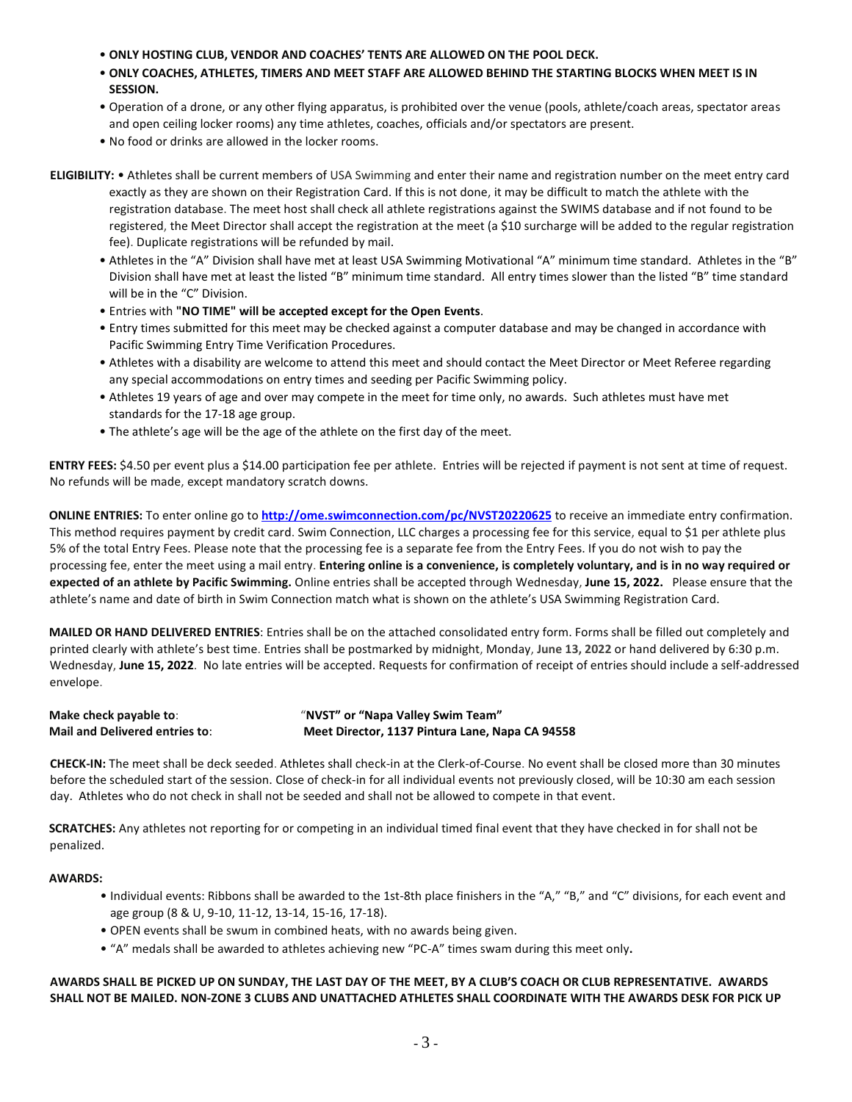- **ONLY HOSTING CLUB, VENDOR AND COACHES' TENTS ARE ALLOWED ON THE POOL DECK.**
- **ONLY COACHES, ATHLETES, TIMERS AND MEET STAFF ARE ALLOWED BEHIND THE STARTING BLOCKS WHEN MEET IS IN SESSION.**
- Operation of a drone, or any other flying apparatus, is prohibited over the venue (pools, athlete/coach areas, spectator areas and open ceiling locker rooms) any time athletes, coaches, officials and/or spectators are present.
- No food or drinks are allowed in the locker rooms.

**ELIGIBILITY:** • Athletes shall be current members of USA Swimming and enter their name and registration number on the meet entry card exactly as they are shown on their Registration Card. If this is not done, it may be difficult to match the athlete with the registration database. The meet host shall check all athlete registrations against the SWIMS database and if not found to be registered, the Meet Director shall accept the registration at the meet (a \$10 surcharge will be added to the regular registration fee). Duplicate registrations will be refunded by mail.

- Athletes in the "A" Division shall have met at least USA Swimming Motivational "A" minimum time standard. Athletes in the "B" Division shall have met at least the listed "B" minimum time standard. All entry times slower than the listed "B" time standard will be in the "C" Division.
- Entries with **"NO TIME" will be accepted except for the Open Events**.
- Entry times submitted for this meet may be checked against a computer database and may be changed in accordance with Pacific Swimming Entry Time Verification Procedures.
- Athletes with a disability are welcome to attend this meet and should contact the Meet Director or Meet Referee regarding any special accommodations on entry times and seeding per Pacific Swimming policy.
- Athletes 19 years of age and over may compete in the meet for time only, no awards. Such athletes must have met standards for the 17-18 age group.
- The athlete's age will be the age of the athlete on the first day of the meet.

**ENTRY FEES:** \$4.50 per event plus a \$14.00 participation fee per athlete. Entries will be rejected if payment is not sent at time of request. No refunds will be made, except mandatory scratch downs.

**ONLINE ENTRIES:** To enter online go [to](http://ome.swimconnection.com/pc/NVST20170625) **http://ome.swimconnection.com/pc/NVST2022062[5](http://ome.swimconnection.com/pc/NVST20170625)** to receive an immediate entry confirmation. This method requires payment by credit card. Swim Connection, LLC charges a processing fee for this service, equal to \$1 per athlete plus 5% of the total Entry Fees. Please note that the processing fee is a separate fee from the Entry Fees. If you do not wish to pay the processing fee, enter the meet using a mail entry. **Entering online is a convenience, is completely voluntary, and is in no way required or expected of an athlete by Pacific Swimming.** Online entries shall be accepted through Wednesday, **June 15, 2022.** Please ensure that the athlete's name and date of birth in Swim Connection match what is shown on the athlete's USA Swimming Registration Card.

**MAILED OR HAND DELIVERED ENTRIES**: Entries shall be on the attached consolidated entry form. Forms shall be filled out completely and printed clearly with athlete's best time. Entries shall be postmarked by midnight, Monday, **June 13, 2022** or hand delivered by 6:30 p.m. Wednesday, **June 15, 2022**. No late entries will be accepted. Requests for confirmation of receipt of entries should include a self-addressed envelope.

| Make check payable to:                | "NVST" or "Napa Valley Swim Team"               |
|---------------------------------------|-------------------------------------------------|
| <b>Mail and Delivered entries to:</b> | Meet Director, 1137 Pintura Lane, Napa CA 94558 |

**CHECK-IN:** The meet shall be deck seeded. Athletes shall check-in at the Clerk-of-Course. No event shall be closed more than 30 minutes before the scheduled start of the session. Close of check-in for all individual events not previously closed, will be 10:30 am each session day. Athletes who do not check in shall not be seeded and shall not be allowed to compete in that event.

**SCRATCHES:** Any athletes not reporting for or competing in an individual timed final event that they have checked in for shall not be penalized.

## **AWARDS:**

- Individual events: Ribbons shall be awarded to the 1st-8th place finishers in the "A," "B," and "C" divisions, for each event and age group (8 & U, 9-10, 11-12, 13-14, 15-16, 17-18).
- OPEN events shall be swum in combined heats, with no awards being given.
- "A" medals shall be awarded to athletes achieving new "PC-A" times swam during this meet only**.**

#### **AWARDS SHALL BE PICKED UP ON SUNDAY, THE LAST DAY OF THE MEET, BY A CLUB'S COACH OR CLUB REPRESENTATIVE. AWARDS SHALL NOT BE MAILED. NON-ZONE 3 CLUBS AND UNATTACHED ATHLETES SHALL COORDINATE WITH THE AWARDS DESK FOR PICK UP**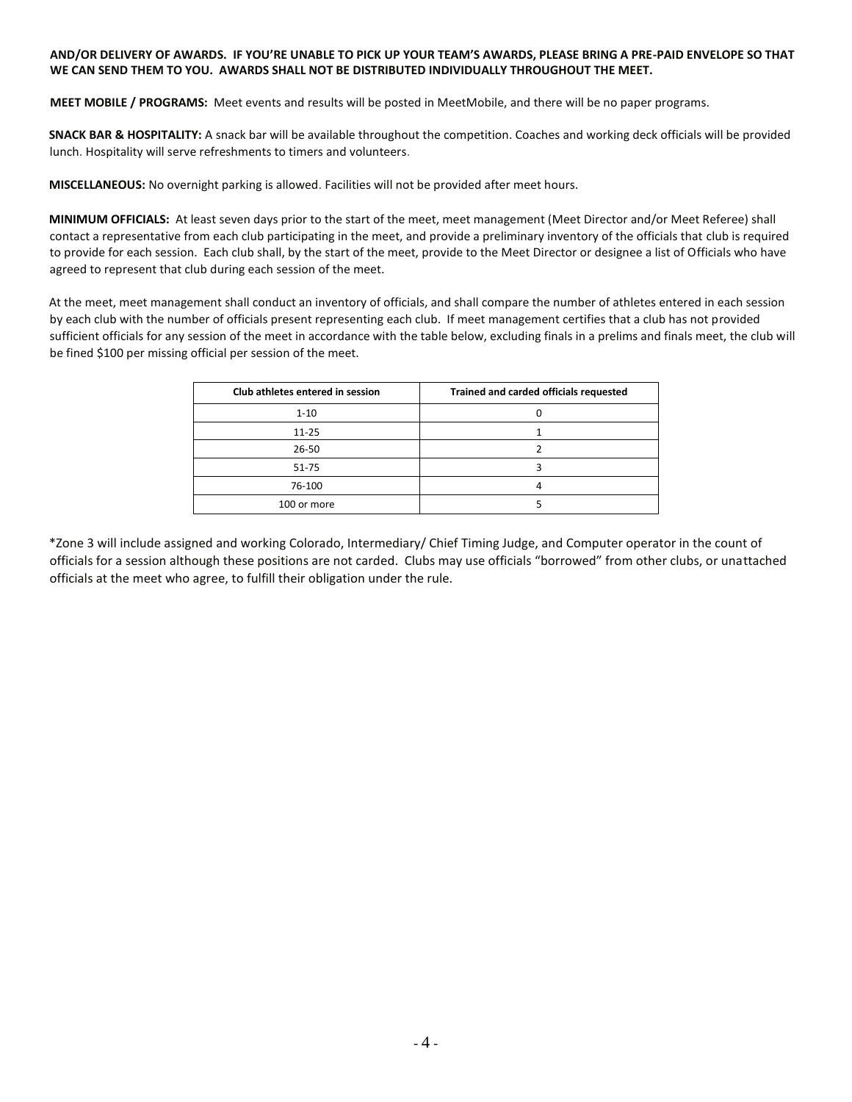#### **AND/OR DELIVERY OF AWARDS. IF YOU'RE UNABLE TO PICK UP YOUR TEAM'S AWARDS, PLEASE BRING A PRE-PAID ENVELOPE SO THAT WE CAN SEND THEM TO YOU. AWARDS SHALL NOT BE DISTRIBUTED INDIVIDUALLY THROUGHOUT THE MEET.**

**MEET MOBILE / PROGRAMS:** Meet events and results will be posted in MeetMobile, and there will be no paper programs.

**SNACK BAR & HOSPITALITY:** A snack bar will be available throughout the competition. Coaches and working deck officials will be provided lunch. Hospitality will serve refreshments to timers and volunteers.

**MISCELLANEOUS:** No overnight parking is allowed. Facilities will not be provided after meet hours.

**MINIMUM OFFICIALS:** At least seven days prior to the start of the meet, meet management (Meet Director and/or Meet Referee) shall contact a representative from each club participating in the meet, and provide a preliminary inventory of the officials that club is required to provide for each session. Each club shall, by the start of the meet, provide to the Meet Director or designee a list of Officials who have agreed to represent that club during each session of the meet.

At the meet, meet management shall conduct an inventory of officials, and shall compare the number of athletes entered in each session by each club with the number of officials present representing each club. If meet management certifies that a club has not provided sufficient officials for any session of the meet in accordance with the table below, excluding finals in a prelims and finals meet, the club will be fined \$100 per missing official per session of the meet.

| Club athletes entered in session | Trained and carded officials requested |
|----------------------------------|----------------------------------------|
| $1 - 10$                         |                                        |
| $11 - 25$                        |                                        |
| $26 - 50$                        |                                        |
| $51 - 75$                        |                                        |
| 76-100                           |                                        |
| 100 or more                      |                                        |

\*Zone 3 will include assigned and working Colorado, Intermediary/ Chief Timing Judge, and Computer operator in the count of officials for a session although these positions are not carded. Clubs may use officials "borrowed" from other clubs, or unattached officials at the meet who agree, to fulfill their obligation under the rule.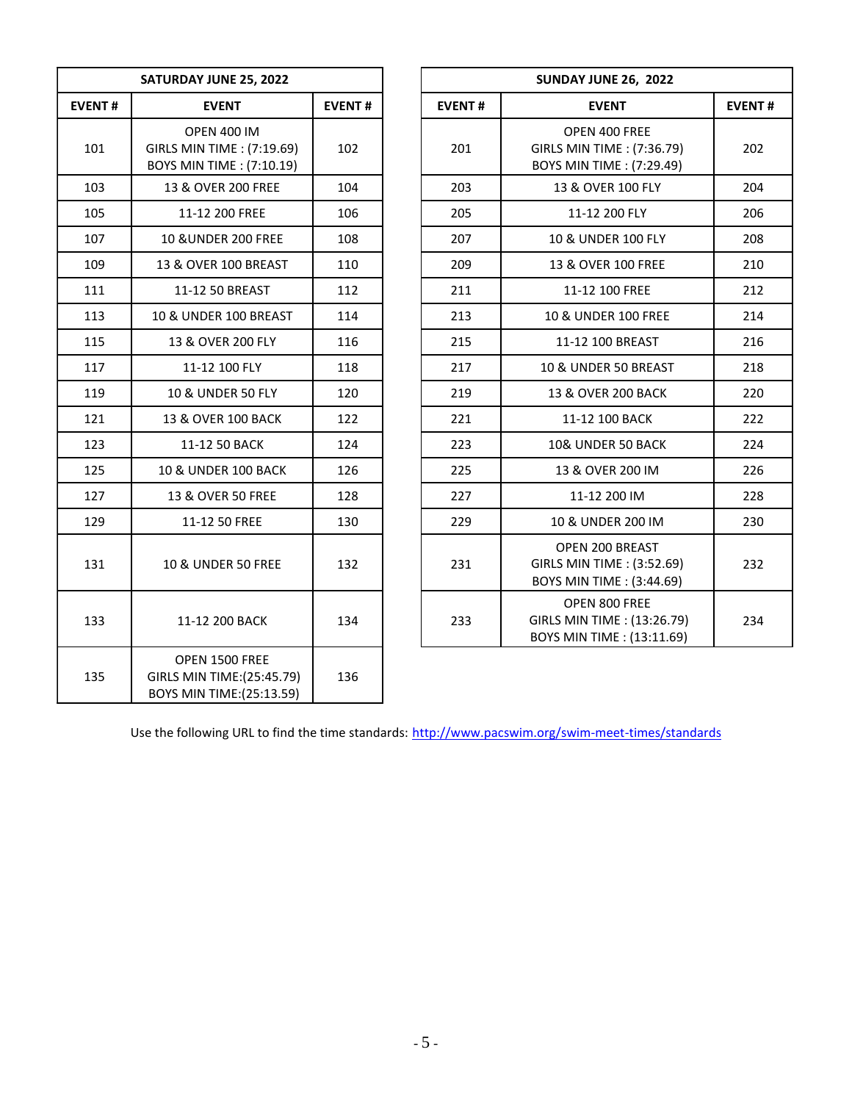|               | SATURDAY JUNE 25, 2022                                                              |               | <b>SUNDAY JUN</b> |                                                                   |
|---------------|-------------------------------------------------------------------------------------|---------------|-------------------|-------------------------------------------------------------------|
| <b>EVENT#</b> | <b>EVENT</b>                                                                        | <b>EVENT#</b> | <b>EVENT#</b>     | <b>EVE</b>                                                        |
| 101           | <b>OPEN 400 IM</b><br>GIRLS MIN TIME : (7:19.69)<br><b>BOYS MIN TIME: (7:10.19)</b> | 102           | 201               | OPEN <sub>40</sub><br><b>GIRLS MIN TIN</b><br><b>BOYS MIN TIN</b> |
| 103           | 13 & OVER 200 FREE                                                                  | 104           | 203               | 13 & OVER                                                         |
| 105           | 11-12 200 FREE                                                                      | 106           | 205               | 11-12 2                                                           |
| 107           | 10 & UNDER 200 FREE                                                                 | 108           | 207               | <b>10 &amp; UNDE</b>                                              |
| 109           | 13 & OVER 100 BREAST                                                                | 110           | 209               | <b>13 &amp; OVER</b>                                              |
| 111           | 11-12 50 BREAST                                                                     | 112           | 211               | 11-12 10                                                          |
| 113           | 10 & UNDER 100 BREAST                                                               | 114           | 213               | <b>10 &amp; UNDER</b>                                             |
| 115           | 13 & OVER 200 FLY                                                                   | 116           | 215               | 11-12 100                                                         |
| 117           | 11-12 100 FLY                                                                       | 118           | 217               | <b>10 &amp; UNDER</b>                                             |
| 119           | 10 & UNDER 50 FLY                                                                   | 120           | 219               | 13 & OVER                                                         |
| 121           | 13 & OVER 100 BACK                                                                  | 122           | 221               | 11-12 10                                                          |
| 123           | 11-12 50 BACK                                                                       | 124           | 223               | 10& UNDEI                                                         |
| 125           | <b>10 &amp; UNDER 100 BACK</b>                                                      | 126           | 225               | 13 & OVE                                                          |
| 127           | 13 & OVER 50 FREE                                                                   | 128           | 227               | 11-122                                                            |
| 129           | 11-12 50 FREE                                                                       | 130           | 229               | <b>10 &amp; UNDE</b>                                              |
| 131           | <b>10 &amp; UNDER 50 FREE</b>                                                       | 132           | 231               | <b>OPEN 200</b><br><b>GIRLS MIN TIN</b><br><b>BOYS MIN TIN</b>    |
| 133           | 11-12 200 BACK                                                                      | 134           | 233               | OPEN 80<br><b>GIRLS MIN TIM</b><br><b>BOYS MIN TIN</b>            |
| 135           | OPEN 1500 FREE<br>GIRLS MIN TIME: (25:45.79)<br>BOYS MIN TIME:(25:13.59)            | 136           |                   |                                                                   |

| <b>SUNDAY JUNE 26, 2022</b> |                                                                                   |               |  |  |  |  |  |  |
|-----------------------------|-----------------------------------------------------------------------------------|---------------|--|--|--|--|--|--|
| <b>EVENT#</b>               | <b>EVENT</b>                                                                      | <b>EVENT#</b> |  |  |  |  |  |  |
| 201                         | OPEN 400 FREE<br>GIRLS MIN TIME : (7:36.79)<br>BOYS MIN TIME : (7:29.49)          | 202           |  |  |  |  |  |  |
| 203                         | 13 & OVER 100 FLY                                                                 | 204           |  |  |  |  |  |  |
| 205                         | 11-12 200 FLY                                                                     | 206           |  |  |  |  |  |  |
| 207                         | 10 & UNDER 100 FLY                                                                | 208           |  |  |  |  |  |  |
| 209                         | 13 & OVER 100 FREE                                                                | 210           |  |  |  |  |  |  |
| 211                         | 11-12 100 FREE                                                                    | 212           |  |  |  |  |  |  |
| 213                         | 10 & UNDER 100 FREE                                                               | 214           |  |  |  |  |  |  |
| 215                         | 11-12 100 BREAST                                                                  | 216           |  |  |  |  |  |  |
| 217                         | 10 & UNDER 50 BREAST                                                              | 218           |  |  |  |  |  |  |
| 219                         | 13 & OVER 200 BACK                                                                | 220           |  |  |  |  |  |  |
| 221                         | 11-12 100 BACK                                                                    | 222           |  |  |  |  |  |  |
| 223                         | 10& UNDER 50 BACK                                                                 | 224           |  |  |  |  |  |  |
| 225                         | 13 & OVER 200 IM                                                                  | 226           |  |  |  |  |  |  |
| 227                         | 11-12 200 IM                                                                      | 228           |  |  |  |  |  |  |
| 229                         | 10 & UNDER 200 IM                                                                 | 230           |  |  |  |  |  |  |
| 231                         | <b>OPEN 200 BREAST</b><br>GIRLS MIN TIME : (3:52.69)<br>BOYS MIN TIME : (3:44.69) | 232           |  |  |  |  |  |  |
| 233                         | OPEN 800 FREE<br>GIRLS MIN TIME : (13:26.79)<br>BOYS MIN TIME : (13:11.69)        | 234           |  |  |  |  |  |  |

Use the following URL to find the time standards: <http://www.pacswim.org/swim-meet-times/standards>